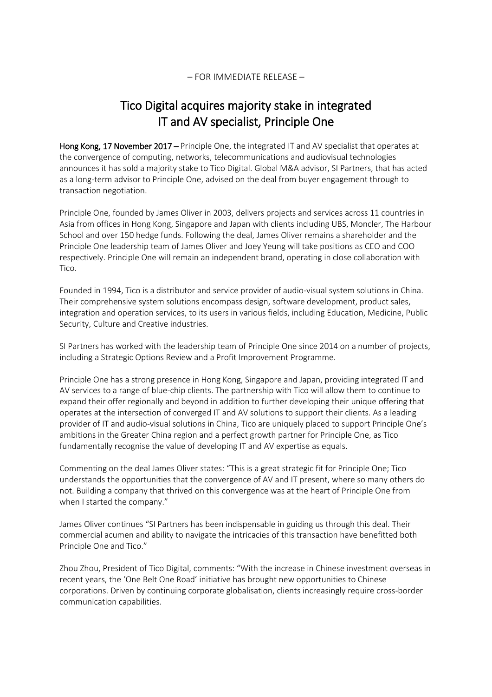## – FOR IMMEDIATE RELEASE –

# Tico Digital acquires majority stake in integrated IT and AV specialist, Principle One

Hong Kong, 17 November 2017 – Principle One, the integrated IT and AV specialist that operates at the convergence of computing, networks, telecommunications and audiovisual technologies announces it has sold a majority stake to Tico Digital. Global M&A advisor, SI Partners, that has acted as a long-term advisor to Principle One, advised on the deal from buyer engagement through to transaction negotiation.

Principle One, founded by James Oliver in 2003, delivers projects and services across 11 countries in Asia from offices in Hong Kong, Singapore and Japan with clients including UBS, Moncler, The Harbour School and over 150 hedge funds. Following the deal, James Oliver remains a shareholder and the Principle One leadership team of James Oliver and Joey Yeung will take positions as CEO and COO respectively. Principle One will remain an independent brand, operating in close collaboration with Tico.

Founded in 1994, Tico is a distributor and service provider of audio-visual system solutions in China. Their comprehensive system solutions encompass design, software development, product sales, integration and operation services, to its users in various fields, including Education, Medicine, Public Security, Culture and Creative industries.

SI Partners has worked with the leadership team of Principle One since 2014 on a number of projects, including a Strategic Options Review and a Profit Improvement Programme.

Principle One has a strong presence in Hong Kong, Singapore and Japan, providing integrated IT and AV services to a range of blue-chip clients. The partnership with Tico will allow them to continue to expand their offer regionally and beyond in addition to further developing their unique offering that operates at the intersection of converged IT and AV solutions to support their clients. As a leading provider of IT and audio-visual solutions in China, Tico are uniquely placed to support Principle One's ambitions in the Greater China region and a perfect growth partner for Principle One, as Tico fundamentally recognise the value of developing IT and AV expertise as equals.

Commenting on the deal James Oliver states: "This is a great strategic fit for Principle One; Tico understands the opportunities that the convergence of AV and IT present, where so many others do not. Building a company that thrived on this convergence was at the heart of Principle One from when I started the company."

James Oliver continues "SI Partners has been indispensable in guiding us through this deal. Their commercial acumen and ability to navigate the intricacies of this transaction have benefitted both Principle One and Tico."

Zhou Zhou, President of Tico Digital, comments: "With the increase in Chinese investment overseas in recent years, the 'One Belt One Road' initiative has brought new opportunities to Chinese corporations. Driven by continuing corporate globalisation, clients increasingly require cross-border communication capabilities.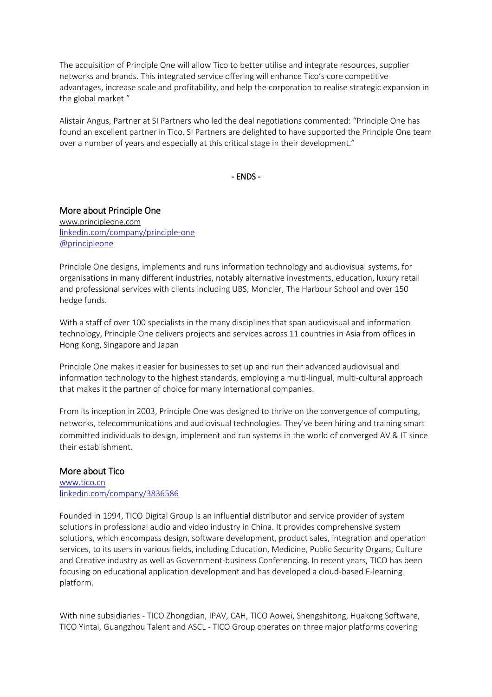The acquisition of Principle One will allow Tico to better utilise and integrate resources, supplier networks and brands. This integrated service offering will enhance Tico's core competitive advantages, increase scale and profitability, and help the corporation to realise strategic expansion in the global market."

Alistair Angus, Partner at SI Partners who led the deal negotiations commented: "Principle One has found an excellent partner in Tico. SI Partners are delighted to have supported the Principle One team over a number of years and especially at this critical stage in their development."

- ENDS -

## More about Principle One

[www.principleone.com](https://www.principleone.com/) [linkedin.com/company/principle-one](https://www.linkedin.com/company/principle-one/) [@principleone](https://twitter.com/principleone)

Principle One designs, implements and runs information technology and audiovisual systems, for organisations in many different industries, notably alternative investments, education, luxury retail and professional services with clients including UBS, Moncler, The Harbour School and over 150 hedge funds.

With a staff of over 100 specialists in the many disciplines that span audiovisual and information technology, Principle One delivers projects and services across 11 countries in Asia from offices in Hong Kong, Singapore and Japan

Principle One makes it easier for businesses to set up and run their advanced audiovisual and information technology to the highest standards, employing a multi-lingual, multi-cultural approach that makes it the partner of choice for many international companies.

From its inception in 2003, Principle One was designed to thrive on the convergence of computing, networks, telecommunications and audiovisual technologies. They've been hiring and training smart committed individuals to design, implement and run systems in the world of converged AV & IT since their establishment.

### More about Tico

[www.tico.cn](http://www.tico.cn/) [linkedin.com/company/3836586](https://www.linkedin.com/company/3836586/)

Founded in 1994, TICO Digital Group is an influential distributor and service provider of system solutions in professional audio and video industry in China. It provides comprehensive system solutions, which encompass design, software development, product sales, integration and operation services, to its users in various fields, including Education, Medicine, Public Security Organs, Culture and Creative industry as well as Government-business Conferencing. In recent years, TICO has been focusing on educational application development and has developed a cloud-based E-learning platform.

With nine subsidiaries - TICO Zhongdian, IPAV, CAH, TICO Aowei, Shengshitong, Huakong Software, TICO Yintai, Guangzhou Talent and ASCL - TICO Group operates on three major platforms covering